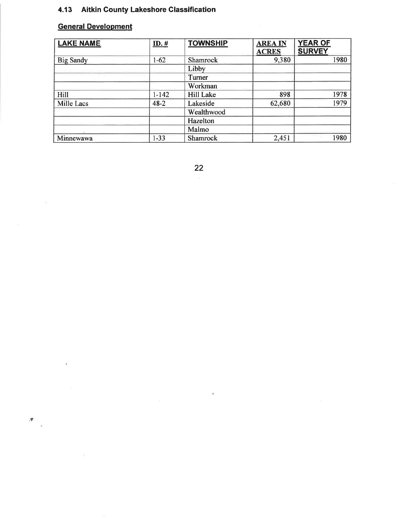# 4.13 Aitkin County Lakeshore Classification

#### **General Development**

 $\partial \mathbf{F}$ 

| <b>LAKE NAME</b>  | $ID.$ #   | <b>TOWNSHIP</b> | <b>AREA IN</b> | <b>YEAR OF</b> |
|-------------------|-----------|-----------------|----------------|----------------|
|                   |           |                 | <b>ACRES</b>   | <b>SURVEY</b>  |
| <b>Big Sandy</b>  | $1-62$    | Shamrock        | 9,380          | 1980           |
|                   |           | Libby           |                |                |
|                   |           | Turner          |                |                |
|                   |           | Workman         |                |                |
| Hill              | $1 - 142$ | Hill Lake       | 898            | 1978           |
| <b>Mille Lacs</b> | $48 - 2$  | Lakeside        | 62,680         | 1979           |
|                   |           | Wealthwood      |                |                |
|                   |           | Hazelton        |                |                |
|                   |           | Malmo           |                |                |
| Minnewawa         | $1 - 33$  | Shamrock        | 2,451          | 1980           |

 $22$ 

Ù,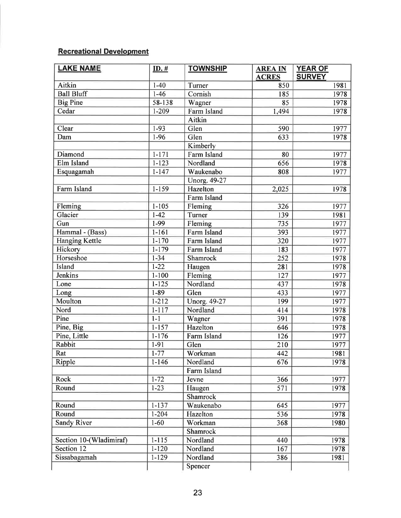# Recreational Development

| <b>SURVEY</b><br><b>ACRES</b><br>Aitkin<br>$1-40$<br>850<br>1981<br>Turner<br><b>Ball Bluff</b><br>$1 - 46$<br>Cornish<br>1978<br>185<br>58-138<br><b>Big Pine</b><br>1978<br>85<br>Wagner<br>Cedar<br>$1 - 209$<br>Farm Island<br>1,494<br>1978<br>Aitkin<br>Clear<br>$1 - 93$<br>Glen<br>590<br>1977<br>$1-96$<br>Glen<br>1978<br>Dam<br>633<br>Kimberly<br>Diamond<br>$1 - 171$<br>Farm Island<br>1977<br>80<br>Elm Island<br>$1 - 123$<br>656<br>Nordland<br>1978<br>Waukenabo<br>1977<br>Esquagamah<br>$1 - 147$<br>808<br><b>Unorg. 49-27</b><br>Farm Island<br>$1 - 159$<br>Hazelton<br>2,025<br>1978<br>Farm Island<br>Fleming<br>$1 - 105$<br>Fleming<br>326<br>1977<br>$1 - 42$<br>Turner<br>Glacier<br>139<br>1981<br>735<br>Gun<br>1-99<br>Fleming<br>1977<br>$1 - 161$<br>Hammal - (Bass)<br>Farm Island<br>393<br>1977<br>$1 - 170$<br><b>Hanging Kettle</b><br>Farm Island<br>1977<br>320<br>Hickory<br>$1 - 179$<br>Farm Island<br>183<br>1977<br>Horseshoe<br>$1 - 34$<br>252<br>1978<br>Shamrock<br>$1 - 22$<br>Island<br>281<br>1978<br>Haugen<br><b>Jenkins</b><br>$1 - 100$<br>1977<br>Fleming<br>127<br>$1 - 125$<br>1978<br>Lone<br>Nordland<br>437<br>1977<br>$1 - 89$<br>Glen<br>433<br>Long<br>$1 - 212$<br>Moulton<br><b>Unorg. 49-27</b><br>1977<br>199<br>$1 - 117$<br>Nordland<br>Nord<br>414<br>1978<br>Pine<br>$1-1$<br>391<br>1978<br>Wagner<br>$1 - 157$<br>Pine, Big<br>Hazelton<br>646<br>1978<br>Pine, Little<br>$1 - 176$<br>126<br>1977<br>Farm Island<br><b>Rabbit</b><br>$1 - 91$<br>1977<br>Glen<br>210<br>$1 - 77$<br>Rat<br>Workman<br>442<br>1981<br>Ripple<br>$1 - 146$<br>Nordland<br>676<br>1978<br>Farm Island<br>$1 - 72$<br>Rock<br>Jevne<br>366<br>1977<br>$1 - 23$<br>571<br>Round<br>Haugen<br>1978<br>Shamrock<br>$1 - 137$<br>Round<br>645<br>1977<br>Waukenabo<br>Round<br>$1 - 204$<br>Hazelton<br>536<br>1978 | <b>LAKE NAME</b>   | $ID.$ #  | <b>TOWNSHIP</b> | <b>AREA IN</b> | <b>YEAR OF</b> |
|--------------------------------------------------------------------------------------------------------------------------------------------------------------------------------------------------------------------------------------------------------------------------------------------------------------------------------------------------------------------------------------------------------------------------------------------------------------------------------------------------------------------------------------------------------------------------------------------------------------------------------------------------------------------------------------------------------------------------------------------------------------------------------------------------------------------------------------------------------------------------------------------------------------------------------------------------------------------------------------------------------------------------------------------------------------------------------------------------------------------------------------------------------------------------------------------------------------------------------------------------------------------------------------------------------------------------------------------------------------------------------------------------------------------------------------------------------------------------------------------------------------------------------------------------------------------------------------------------------------------------------------------------------------------------------------------------------------------------------------------------------------------------------------------------------------------------------------------------------------------------|--------------------|----------|-----------------|----------------|----------------|
|                                                                                                                                                                                                                                                                                                                                                                                                                                                                                                                                                                                                                                                                                                                                                                                                                                                                                                                                                                                                                                                                                                                                                                                                                                                                                                                                                                                                                                                                                                                                                                                                                                                                                                                                                                                                                                                                          |                    |          |                 |                |                |
|                                                                                                                                                                                                                                                                                                                                                                                                                                                                                                                                                                                                                                                                                                                                                                                                                                                                                                                                                                                                                                                                                                                                                                                                                                                                                                                                                                                                                                                                                                                                                                                                                                                                                                                                                                                                                                                                          |                    |          |                 |                |                |
|                                                                                                                                                                                                                                                                                                                                                                                                                                                                                                                                                                                                                                                                                                                                                                                                                                                                                                                                                                                                                                                                                                                                                                                                                                                                                                                                                                                                                                                                                                                                                                                                                                                                                                                                                                                                                                                                          |                    |          |                 |                |                |
|                                                                                                                                                                                                                                                                                                                                                                                                                                                                                                                                                                                                                                                                                                                                                                                                                                                                                                                                                                                                                                                                                                                                                                                                                                                                                                                                                                                                                                                                                                                                                                                                                                                                                                                                                                                                                                                                          |                    |          |                 |                |                |
|                                                                                                                                                                                                                                                                                                                                                                                                                                                                                                                                                                                                                                                                                                                                                                                                                                                                                                                                                                                                                                                                                                                                                                                                                                                                                                                                                                                                                                                                                                                                                                                                                                                                                                                                                                                                                                                                          |                    |          |                 |                |                |
|                                                                                                                                                                                                                                                                                                                                                                                                                                                                                                                                                                                                                                                                                                                                                                                                                                                                                                                                                                                                                                                                                                                                                                                                                                                                                                                                                                                                                                                                                                                                                                                                                                                                                                                                                                                                                                                                          |                    |          |                 |                |                |
|                                                                                                                                                                                                                                                                                                                                                                                                                                                                                                                                                                                                                                                                                                                                                                                                                                                                                                                                                                                                                                                                                                                                                                                                                                                                                                                                                                                                                                                                                                                                                                                                                                                                                                                                                                                                                                                                          |                    |          |                 |                |                |
|                                                                                                                                                                                                                                                                                                                                                                                                                                                                                                                                                                                                                                                                                                                                                                                                                                                                                                                                                                                                                                                                                                                                                                                                                                                                                                                                                                                                                                                                                                                                                                                                                                                                                                                                                                                                                                                                          |                    |          |                 |                |                |
|                                                                                                                                                                                                                                                                                                                                                                                                                                                                                                                                                                                                                                                                                                                                                                                                                                                                                                                                                                                                                                                                                                                                                                                                                                                                                                                                                                                                                                                                                                                                                                                                                                                                                                                                                                                                                                                                          |                    |          |                 |                |                |
|                                                                                                                                                                                                                                                                                                                                                                                                                                                                                                                                                                                                                                                                                                                                                                                                                                                                                                                                                                                                                                                                                                                                                                                                                                                                                                                                                                                                                                                                                                                                                                                                                                                                                                                                                                                                                                                                          |                    |          |                 |                |                |
|                                                                                                                                                                                                                                                                                                                                                                                                                                                                                                                                                                                                                                                                                                                                                                                                                                                                                                                                                                                                                                                                                                                                                                                                                                                                                                                                                                                                                                                                                                                                                                                                                                                                                                                                                                                                                                                                          |                    |          |                 |                |                |
|                                                                                                                                                                                                                                                                                                                                                                                                                                                                                                                                                                                                                                                                                                                                                                                                                                                                                                                                                                                                                                                                                                                                                                                                                                                                                                                                                                                                                                                                                                                                                                                                                                                                                                                                                                                                                                                                          |                    |          |                 |                |                |
|                                                                                                                                                                                                                                                                                                                                                                                                                                                                                                                                                                                                                                                                                                                                                                                                                                                                                                                                                                                                                                                                                                                                                                                                                                                                                                                                                                                                                                                                                                                                                                                                                                                                                                                                                                                                                                                                          |                    |          |                 |                |                |
|                                                                                                                                                                                                                                                                                                                                                                                                                                                                                                                                                                                                                                                                                                                                                                                                                                                                                                                                                                                                                                                                                                                                                                                                                                                                                                                                                                                                                                                                                                                                                                                                                                                                                                                                                                                                                                                                          |                    |          |                 |                |                |
|                                                                                                                                                                                                                                                                                                                                                                                                                                                                                                                                                                                                                                                                                                                                                                                                                                                                                                                                                                                                                                                                                                                                                                                                                                                                                                                                                                                                                                                                                                                                                                                                                                                                                                                                                                                                                                                                          |                    |          |                 |                |                |
|                                                                                                                                                                                                                                                                                                                                                                                                                                                                                                                                                                                                                                                                                                                                                                                                                                                                                                                                                                                                                                                                                                                                                                                                                                                                                                                                                                                                                                                                                                                                                                                                                                                                                                                                                                                                                                                                          |                    |          |                 |                |                |
|                                                                                                                                                                                                                                                                                                                                                                                                                                                                                                                                                                                                                                                                                                                                                                                                                                                                                                                                                                                                                                                                                                                                                                                                                                                                                                                                                                                                                                                                                                                                                                                                                                                                                                                                                                                                                                                                          |                    |          |                 |                |                |
|                                                                                                                                                                                                                                                                                                                                                                                                                                                                                                                                                                                                                                                                                                                                                                                                                                                                                                                                                                                                                                                                                                                                                                                                                                                                                                                                                                                                                                                                                                                                                                                                                                                                                                                                                                                                                                                                          |                    |          |                 |                |                |
|                                                                                                                                                                                                                                                                                                                                                                                                                                                                                                                                                                                                                                                                                                                                                                                                                                                                                                                                                                                                                                                                                                                                                                                                                                                                                                                                                                                                                                                                                                                                                                                                                                                                                                                                                                                                                                                                          |                    |          |                 |                |                |
|                                                                                                                                                                                                                                                                                                                                                                                                                                                                                                                                                                                                                                                                                                                                                                                                                                                                                                                                                                                                                                                                                                                                                                                                                                                                                                                                                                                                                                                                                                                                                                                                                                                                                                                                                                                                                                                                          |                    |          |                 |                |                |
|                                                                                                                                                                                                                                                                                                                                                                                                                                                                                                                                                                                                                                                                                                                                                                                                                                                                                                                                                                                                                                                                                                                                                                                                                                                                                                                                                                                                                                                                                                                                                                                                                                                                                                                                                                                                                                                                          |                    |          |                 |                |                |
|                                                                                                                                                                                                                                                                                                                                                                                                                                                                                                                                                                                                                                                                                                                                                                                                                                                                                                                                                                                                                                                                                                                                                                                                                                                                                                                                                                                                                                                                                                                                                                                                                                                                                                                                                                                                                                                                          |                    |          |                 |                |                |
|                                                                                                                                                                                                                                                                                                                                                                                                                                                                                                                                                                                                                                                                                                                                                                                                                                                                                                                                                                                                                                                                                                                                                                                                                                                                                                                                                                                                                                                                                                                                                                                                                                                                                                                                                                                                                                                                          |                    |          |                 |                |                |
|                                                                                                                                                                                                                                                                                                                                                                                                                                                                                                                                                                                                                                                                                                                                                                                                                                                                                                                                                                                                                                                                                                                                                                                                                                                                                                                                                                                                                                                                                                                                                                                                                                                                                                                                                                                                                                                                          |                    |          |                 |                |                |
|                                                                                                                                                                                                                                                                                                                                                                                                                                                                                                                                                                                                                                                                                                                                                                                                                                                                                                                                                                                                                                                                                                                                                                                                                                                                                                                                                                                                                                                                                                                                                                                                                                                                                                                                                                                                                                                                          |                    |          |                 |                |                |
|                                                                                                                                                                                                                                                                                                                                                                                                                                                                                                                                                                                                                                                                                                                                                                                                                                                                                                                                                                                                                                                                                                                                                                                                                                                                                                                                                                                                                                                                                                                                                                                                                                                                                                                                                                                                                                                                          |                    |          |                 |                |                |
|                                                                                                                                                                                                                                                                                                                                                                                                                                                                                                                                                                                                                                                                                                                                                                                                                                                                                                                                                                                                                                                                                                                                                                                                                                                                                                                                                                                                                                                                                                                                                                                                                                                                                                                                                                                                                                                                          |                    |          |                 |                |                |
|                                                                                                                                                                                                                                                                                                                                                                                                                                                                                                                                                                                                                                                                                                                                                                                                                                                                                                                                                                                                                                                                                                                                                                                                                                                                                                                                                                                                                                                                                                                                                                                                                                                                                                                                                                                                                                                                          |                    |          |                 |                |                |
|                                                                                                                                                                                                                                                                                                                                                                                                                                                                                                                                                                                                                                                                                                                                                                                                                                                                                                                                                                                                                                                                                                                                                                                                                                                                                                                                                                                                                                                                                                                                                                                                                                                                                                                                                                                                                                                                          |                    |          |                 |                |                |
|                                                                                                                                                                                                                                                                                                                                                                                                                                                                                                                                                                                                                                                                                                                                                                                                                                                                                                                                                                                                                                                                                                                                                                                                                                                                                                                                                                                                                                                                                                                                                                                                                                                                                                                                                                                                                                                                          |                    |          |                 |                |                |
|                                                                                                                                                                                                                                                                                                                                                                                                                                                                                                                                                                                                                                                                                                                                                                                                                                                                                                                                                                                                                                                                                                                                                                                                                                                                                                                                                                                                                                                                                                                                                                                                                                                                                                                                                                                                                                                                          |                    |          |                 |                |                |
|                                                                                                                                                                                                                                                                                                                                                                                                                                                                                                                                                                                                                                                                                                                                                                                                                                                                                                                                                                                                                                                                                                                                                                                                                                                                                                                                                                                                                                                                                                                                                                                                                                                                                                                                                                                                                                                                          |                    |          |                 |                |                |
|                                                                                                                                                                                                                                                                                                                                                                                                                                                                                                                                                                                                                                                                                                                                                                                                                                                                                                                                                                                                                                                                                                                                                                                                                                                                                                                                                                                                                                                                                                                                                                                                                                                                                                                                                                                                                                                                          |                    |          |                 |                |                |
|                                                                                                                                                                                                                                                                                                                                                                                                                                                                                                                                                                                                                                                                                                                                                                                                                                                                                                                                                                                                                                                                                                                                                                                                                                                                                                                                                                                                                                                                                                                                                                                                                                                                                                                                                                                                                                                                          |                    |          |                 |                |                |
|                                                                                                                                                                                                                                                                                                                                                                                                                                                                                                                                                                                                                                                                                                                                                                                                                                                                                                                                                                                                                                                                                                                                                                                                                                                                                                                                                                                                                                                                                                                                                                                                                                                                                                                                                                                                                                                                          |                    |          |                 |                |                |
|                                                                                                                                                                                                                                                                                                                                                                                                                                                                                                                                                                                                                                                                                                                                                                                                                                                                                                                                                                                                                                                                                                                                                                                                                                                                                                                                                                                                                                                                                                                                                                                                                                                                                                                                                                                                                                                                          |                    |          |                 |                |                |
|                                                                                                                                                                                                                                                                                                                                                                                                                                                                                                                                                                                                                                                                                                                                                                                                                                                                                                                                                                                                                                                                                                                                                                                                                                                                                                                                                                                                                                                                                                                                                                                                                                                                                                                                                                                                                                                                          |                    |          |                 |                |                |
|                                                                                                                                                                                                                                                                                                                                                                                                                                                                                                                                                                                                                                                                                                                                                                                                                                                                                                                                                                                                                                                                                                                                                                                                                                                                                                                                                                                                                                                                                                                                                                                                                                                                                                                                                                                                                                                                          |                    |          |                 |                |                |
|                                                                                                                                                                                                                                                                                                                                                                                                                                                                                                                                                                                                                                                                                                                                                                                                                                                                                                                                                                                                                                                                                                                                                                                                                                                                                                                                                                                                                                                                                                                                                                                                                                                                                                                                                                                                                                                                          |                    |          |                 |                |                |
|                                                                                                                                                                                                                                                                                                                                                                                                                                                                                                                                                                                                                                                                                                                                                                                                                                                                                                                                                                                                                                                                                                                                                                                                                                                                                                                                                                                                                                                                                                                                                                                                                                                                                                                                                                                                                                                                          |                    |          |                 |                |                |
|                                                                                                                                                                                                                                                                                                                                                                                                                                                                                                                                                                                                                                                                                                                                                                                                                                                                                                                                                                                                                                                                                                                                                                                                                                                                                                                                                                                                                                                                                                                                                                                                                                                                                                                                                                                                                                                                          | <b>Sandy River</b> | $1 - 60$ | Workman         | 368            | 1980           |
| Shamrock                                                                                                                                                                                                                                                                                                                                                                                                                                                                                                                                                                                                                                                                                                                                                                                                                                                                                                                                                                                                                                                                                                                                                                                                                                                                                                                                                                                                                                                                                                                                                                                                                                                                                                                                                                                                                                                                 |                    |          |                 |                |                |
| $1 - 115$<br>Section 10-(Wladimiraf)<br>Nordland<br>440<br>1978                                                                                                                                                                                                                                                                                                                                                                                                                                                                                                                                                                                                                                                                                                                                                                                                                                                                                                                                                                                                                                                                                                                                                                                                                                                                                                                                                                                                                                                                                                                                                                                                                                                                                                                                                                                                          |                    |          |                 |                |                |
| Section 12<br>$1 - 120$<br>Nordland<br>167<br>1978                                                                                                                                                                                                                                                                                                                                                                                                                                                                                                                                                                                                                                                                                                                                                                                                                                                                                                                                                                                                                                                                                                                                                                                                                                                                                                                                                                                                                                                                                                                                                                                                                                                                                                                                                                                                                       |                    |          |                 |                |                |
| Sissabagamah<br>$1-129$<br>Nordland<br>386<br>1981                                                                                                                                                                                                                                                                                                                                                                                                                                                                                                                                                                                                                                                                                                                                                                                                                                                                                                                                                                                                                                                                                                                                                                                                                                                                                                                                                                                                                                                                                                                                                                                                                                                                                                                                                                                                                       |                    |          |                 |                |                |
| Spencer                                                                                                                                                                                                                                                                                                                                                                                                                                                                                                                                                                                                                                                                                                                                                                                                                                                                                                                                                                                                                                                                                                                                                                                                                                                                                                                                                                                                                                                                                                                                                                                                                                                                                                                                                                                                                                                                  |                    |          |                 |                |                |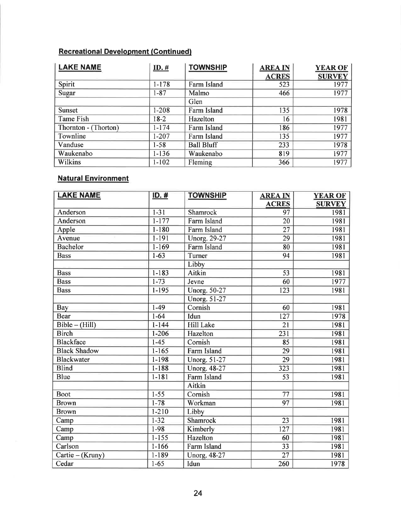# Recreational Development (Continued)

| <b>LAKE NAME</b>     | ID.#      | <b>TOWNSHIP</b>   | <b>AREA IN</b> | <b>YEAR OF</b> |
|----------------------|-----------|-------------------|----------------|----------------|
|                      |           |                   | <b>ACRES</b>   | <b>SURVEY</b>  |
| Spirit               | $1 - 178$ | Farm Island       | 523            | 1977           |
| Sugar                | $1 - 87$  | Malmo             | 466            | 1977           |
|                      |           | Glen              |                |                |
| Sunset               | $1 - 208$ | Farm Island       | 135            | 1978           |
| Tame Fish            | $18-2$    | Hazelton          | 16             | 1981           |
| Thornton - (Thorton) | $1 - 174$ | Farm Island       | 186            | 1977           |
| Townline             | $1 - 207$ | Farm Island       | 135            | 1977           |
| Vanduse              | $1 - 58$  | <b>Ball Bluff</b> | 233            | 1978           |
| Waukenabo            | $1 - 136$ | Waukenabo         | 819            | 1977           |
| Wilkins              | $1 - 102$ | Fleming           | 366            | 1977           |

## **Natural Environment**

| <b>LAKE NAME</b>    | $ID.$ #   | <b>TOWNSHIP</b>     | <b>AREA IN</b>  | <b>YEAR OF</b> |
|---------------------|-----------|---------------------|-----------------|----------------|
|                     |           |                     | <b>ACRES</b>    | <b>SURVEY</b>  |
| Anderson            | $1 - 31$  | Shamrock            | 97              | 1981           |
| Anderson            | $1 - 177$ | Farm Island         | $\overline{20}$ | 1981           |
| Apple               | $1 - 180$ | Farm Island         | $\overline{27}$ | 1981           |
| Avenue              | $1 - 191$ | Unorg. 29-27        | 29              | 1981           |
| <b>Bachelor</b>     | $1 - 169$ | Farm Island         | $\overline{80}$ | 1981           |
| <b>Bass</b>         | $1 - 63$  | Turner              | 94              | 1981           |
|                     |           | Libby               |                 |                |
| <b>Bass</b>         | $1 - 183$ | Aitkin              | 53              | 1981           |
| <b>Bass</b>         | $1 - 73$  | Jevne               | 60              | 1977           |
| <b>Bass</b>         | 1-195     | <b>Unorg.</b> 50-27 | 123             | 1981           |
|                     |           | <b>Unorg.</b> 51-27 |                 |                |
| Bay                 | $1-49$    | Cornish             | 60              | 1981           |
| <b>Bear</b>         | $1 - 64$  | Idun                | 127             | 1978           |
| $Bible - (Hill)$    | $1 - 144$ | <b>Hill Lake</b>    | $\overline{21}$ | 1981           |
| <b>Birch</b>        | $1 - 206$ | Hazelton            | 231             | 1981           |
| <b>Blackface</b>    | $1 - 45$  | Cornish             | 85              | 1981           |
| <b>Black Shadow</b> | $1 - 165$ | Farm Island         | 29              | 1981           |
| <b>Blackwater</b>   | $1 - 198$ | Unorg. 51-27        | 29              | 1981           |
| <b>Blind</b>        | $1 - 188$ | <b>Unorg. 48-27</b> | 323             | 1981           |
| <b>Blue</b>         | $1 - 181$ | <b>Farm Island</b>  | 53              | 1981           |
|                     |           | Aitkin              |                 |                |
| <b>Boot</b>         | $1 - 55$  | Cornish             | 77              | 1981           |
| <b>Brown</b>        | $1 - 78$  | Workman             | $\overline{97}$ | 1981           |
| <b>Brown</b>        | $1 - 210$ | Libby               |                 |                |
| Camp                | $1 - 32$  | Shamrock            | 23              | 1981           |
| Camp                | $1-98$    | Kimberly            | 127             | 1981           |
| Camp                | $1 - 155$ | Hazelton            | 60              | 1981           |
| Carlson             | $1 - 166$ | Farm Island         | 33              | 1981           |
| Cartie - (Kruny)    | $1 - 189$ | <b>Unorg. 48-27</b> | 27              | 1981           |
| Cedar               | $1 - 65$  | Idun                | 260             | 1978           |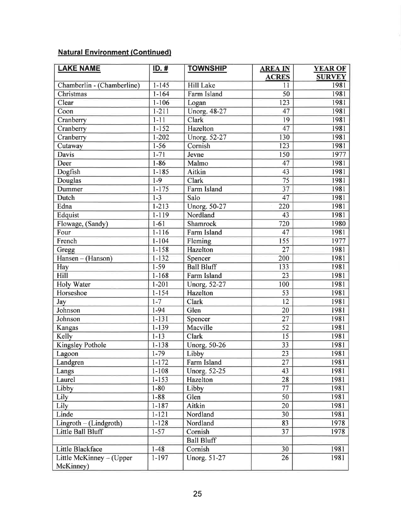## Natural Environment (Gontinued)

| <b>LAKE NAME</b>           | $ID.$ #   | <b>TOWNSHIP</b>   | <b>AREA IN</b>     | <b>YEAR OF</b>        |
|----------------------------|-----------|-------------------|--------------------|-----------------------|
| Chamberlin - (Chamberline) | $1 - 145$ | <b>Hill Lake</b>  | <b>ACRES</b><br>11 | <b>SURVEY</b><br>1981 |
| Christmas                  | $1 - 164$ | Farm Island       | 50                 | 1981                  |
| Clear                      | $1 - 106$ | Logan             | $\overline{123}$   | 1981                  |
| Coon                       | $1 - 211$ | Unorg. 48-27      | 47                 | 1981                  |
| Cranberry                  | $1 - 11$  | Clark             | 19                 | 1981                  |
| Cranberry                  | $1 - 152$ | Hazelton          | 47                 | 1981                  |
| Cranberry                  | $1 - 202$ | Unorg. 52-27      | 130                | 1981                  |
| Cutaway                    | $1 - 56$  | Cornish           | 123                | 1981                  |
| Davis                      | $1 - 71$  | Jevne             | 150                | 1977                  |
| Deer                       | $1 - 86$  | Malmo             | 47                 | 1981                  |
| Dogfish                    | $1 - 185$ | Aitkin            | 43                 | 1981                  |
| Douglas                    | $1-9$     | Clark             | 75                 | 1981                  |
| Dummer                     | $1 - 175$ | Farm Island       | $\overline{37}$    | 1981                  |
| Dutch                      | $1 - 3$   | Salo              | 47                 | 1981                  |
| Edna                       | $1 - 213$ | Unorg. 50-27      | 220                | 1981                  |
| Edquist                    | $1 - 119$ | Nordland          | 43                 | 1981                  |
| Flowage, (Sandy)           | $1 - 61$  | Shamrock          | 720                | 1980                  |
| Four                       | $1 - 116$ | Farm Island       | 47                 | 1981                  |
| French                     | $1 - 104$ | Fleming           | 155                | 1977                  |
| Gregg                      | $1 - 158$ | Hazelton          | $\overline{27}$    | 1981                  |
| Hansen - (Hanson)          | $1 - 132$ | Spencer           | 200                | 1981                  |
| Hay                        | $1-59$    | <b>Ball Bluff</b> | 133                | 1981                  |
| Hill                       | $1 - 168$ | Farm Island       | 23                 | 1981                  |
| <b>Holy Water</b>          | $1 - 201$ | Unorg. 52-27      | 100                | 1981                  |
| Horseshoe                  | $1 - 154$ | Hazelton          | 53                 | 1981                  |
| Jay                        | $1 - 7$   | Clark             | 12                 | 1981                  |
| Johnson                    | $1 - 94$  | Glen              | 20                 | 1981                  |
| Johnson                    | $1 - 131$ | Spencer           | 27                 | 1981                  |
| Kangas                     | $1 - 139$ | Macville          | $\overline{52}$    | 1981                  |
| Kelly                      | $1 - 13$  | <b>Clark</b>      | 15                 | 1981                  |
| Kingsley Pothole           | $1 - 138$ | Unorg. 50-26      | 33                 | 1981                  |
| Lagoon                     | $1 - 79$  | Libby             | 23                 | 1981                  |
| Landgren                   | $1 - 172$ | Farm Island       | 27                 | 1981                  |
| Langs                      | $1 - 108$ | Unorg. 52-25      | 43                 | 1981                  |
| Laurel                     | $1 - 153$ | Hazelton          | 28                 | 1981                  |
| Libby                      | $1 - 80$  | Libby             | 77                 | 1981                  |
| Lily                       | $1 - 88$  | Glen              | 50                 | 1981                  |
| Lily                       | $1 - 187$ | Aitkin            | 20                 | 1981                  |
| Linde                      | $1 - 121$ | Nordland          | 30                 | 1981                  |
| $Lingroth - (Lindgroth)$   | $1 - 128$ | Nordland          | 83                 | 1978                  |
| Little Ball Bluff          | $1 - 57$  | Cornish           | 37                 | 1978                  |
|                            |           | <b>Ball Bluff</b> |                    |                       |
| Little Blackface           | $1 - 48$  | Cornish           | 30                 | 1981                  |
| Little McKinney - (Upper   | $1 - 197$ | Unorg. 51-27      | 26                 | 1981                  |
| McKinney)                  |           |                   |                    |                       |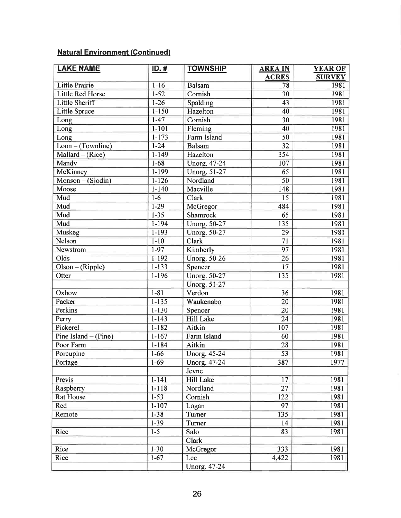## **Natural Environment (Continued)**

| <b>LAKE NAME</b>        | $ID.$ #   | <b>TOWNSHIP</b>     | <b>AREA IN</b>  | <b>YEAR OF</b> |
|-------------------------|-----------|---------------------|-----------------|----------------|
|                         |           |                     | <b>ACRES</b>    | <b>SURVEY</b>  |
| <b>Little Prairie</b>   | $1 - 16$  | <b>Balsam</b>       | 78              | 1981           |
| <b>Little Red Horse</b> | $1 - 52$  | Cornish             | 30              | 1981           |
| <b>Little Sheriff</b>   | $1 - 26$  | Spalding            | 43              | 1981           |
| Little Spruce           | $1 - 150$ | Hazelton            | 40              | 1981           |
| Long                    | $1 - 47$  | Cornish             | 30              | 1981           |
| Long                    | $1 - 101$ | Fleming             | 40              | 1981           |
| Long                    | $1 - 173$ | Farm Island         | 50              | 1981           |
| $Loop - (Towpline)$     | $1 - 24$  | <b>Balsam</b>       | $\overline{32}$ | 1981           |
| $Mallard - (Rice)$      | $1 - 149$ | Hazelton            | 354             | 1981           |
| Mandy                   | $1 - 68$  | Unorg. 47-24        | 107             | 1981           |
| McKinney                | $1 - 199$ | <b>Unorg. 51-27</b> | 65              | 1981           |
| Monson - (Sjodin)       | $1 - 126$ | Nordland            | 50              | 1981           |
| Moose                   | $1 - 140$ | Macville            | 148             | 1981           |
| Mud                     | $1-6$     | Clark               | 15              | 1981           |
| Mud                     | $1-29$    | McGregor            | 484             | 1981           |
| Mud                     | $1 - 35$  | Shamrock            | 65              | 1981           |
| Mud                     | $1 - 194$ | Unorg. 50-27        | 135             | 1981           |
| Muskeg                  | $1 - 193$ | <b>Unorg. 50-27</b> | 29              | 1981           |
| Nelson                  | $1 - 10$  | Clark               | 71              | 1981           |
| Newstrom                | $1-97$    | Kimberly            | $\overline{97}$ | 1981           |
| Olds                    | $1 - 192$ | <b>Unorg. 50-26</b> | 26              | 1981           |
| $Olson - (Ripple)$      | $1 - 133$ | Spencer             | 17              | 1981           |
| Otter                   | $1 - 196$ | <b>Unorg. 50-27</b> | 135             | 1981           |
|                         |           | Unorg. 51-27        |                 |                |
| Oxbow                   | $1 - 81$  | Verdon              | 36              | 1981           |
| Packer                  | $1 - 135$ | Waukenabo           | 20              | 1981           |
| Perkins                 | $1 - 130$ | Spencer             | 20              | 1981           |
| Perry                   | $1 - 143$ | <b>Hill Lake</b>    | $\overline{24}$ | 1981           |
| Pickerel                | $1 - 182$ | Aitkin              | 107             | 1981           |
| Pine Island $-$ (Pine)  | $1 - 167$ | Farm Island         | 60              | 1981           |
| Poor Farm               | $1 - 184$ | Aitkin              | 28              | 1981           |
| Porcupine               | $1 - 66$  | <b>Unorg. 45-24</b> | $\overline{53}$ | 1981           |
| Portage                 | $1-69$    | Unorg. 47-24        | 387             | 1977           |
|                         |           | Jevne               |                 |                |
| Previs                  | $1 - 141$ | <b>Hill Lake</b>    | 17              | 1981           |
| Raspberry               | $1 - 118$ | Nordland            | 27              | 1981           |
| <b>Rat House</b>        | $1 - 53$  | Cornish             | 122             | 1981           |
| Red                     | $1 - 107$ | Logan               | 97              | 1981           |
| Remote                  | $1 - 38$  | Turner              | 135             | 1981           |
|                         | $1-39$    | Turner              | 14              | 1981           |
| Rice                    | $1-5$     | Salo                | 83              | 1981           |
|                         |           | Clark               |                 |                |
| Rice                    | $1-30$    | McGregor            | 333             | 1981           |
| Rice                    | $1 - 67$  | Lee                 | 4,422           | 1981           |
|                         |           | Unorg. 47-24        |                 |                |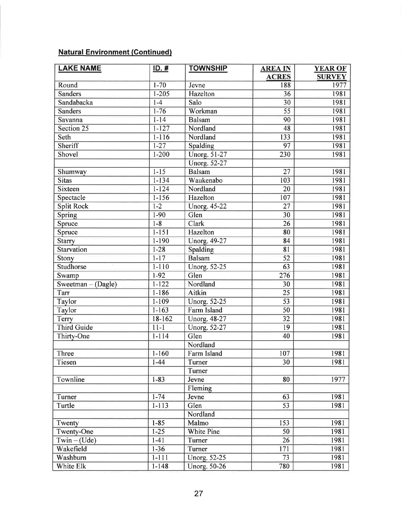## Natural Environment (Continued)

| <b>LAKE NAME</b>   | <u>ID. #</u> | <b>TOWNSHIP</b>     | <b>AREA IN</b>  | <b>YEAR OF</b> |
|--------------------|--------------|---------------------|-----------------|----------------|
|                    |              |                     | <b>ACRES</b>    | <b>SURVEY</b>  |
| Round              | $1 - 70$     | Jevne               | 188             | 1977           |
| <b>Sanders</b>     | $1 - 205$    | Hazelton            | 36              | 1981           |
| Sandabacka         | $1-4$        | Salo                | 30              | 1981           |
| <b>Sanders</b>     | $1 - 76$     | Workman             | $\overline{55}$ | 1981           |
| Savanna            | $1 - 14$     | <b>Balsam</b>       | 90              | 1981           |
| Section 25         | $1 - 127$    | Nordland            | 48              | 1981           |
| Seth               | $1 - 116$    | Nordland            | 133             | 1981           |
| Sheriff            | $1 - 27$     | Spalding            | 97              | 1981           |
| Shovel             | $1 - 200$    | <b>Unorg. 51-27</b> | 230             | 1981           |
|                    |              | <b>Unorg. 52-27</b> |                 |                |
| Shumway            | $1 - 15$     | <b>Balsam</b>       | 27              | 1981           |
| <b>Sitas</b>       | $1 - 134$    | Waukenabo           | 103             | 1981           |
| <b>Sixteen</b>     | $1 - 124$    | Nordland            | 20              | 1981           |
| Spectacle          | $1 - 156$    | Hazelton            | 107             | 1981           |
| <b>Split Rock</b>  | $1 - 2$      | <b>Unorg. 45-22</b> | 27              | 1981           |
| Spring             | $1 - 90$     | Glen                | 30              | 1981           |
| Spruce             | $1 - 8$      | Clark               | 26              | 1981           |
| Spruce             | $1 - 151$    | Hazelton            | 80              | 1981           |
| <b>Starry</b>      | $1 - 190$    | Unorg. 49-27        | 84              | 1981           |
| Starvation         | $1 - 28$     | Spalding            | 81              | 1981           |
| Stony              | $1 - 17$     | <b>Balsam</b>       | 52              | 1981           |
| <b>Studhorse</b>   | $1 - 110$    | Unorg. 52-25        | 63              | 1981           |
| Swamp              | $1-92$       | Glen                | 276             | 1981           |
| Sweetman - (Dagle) | $1 - 122$    | Nordland            | 30              | 1981           |
| Tarr               | $1 - 186$    | Aitkin              | 25              | 1981           |
| Taylor             | $1 - 109$    | Unorg. 52-25        | $\overline{53}$ | 1981           |
| Taylor             | $1 - 163$    | Farm Island         | 50              | 1981           |
| Terry              | 18-162       | <b>Unorg. 48-27</b> | $\overline{32}$ | 1981           |
| <b>Third Guide</b> | $11 - 1$     | <b>Unorg. 52-27</b> | 19              | 1981           |
| Thirty-One         | $1 - 114$    | Glen                | 40              | 1981           |
|                    |              | Nordland            |                 |                |
| Three              | $1 - 160$    | Farm Island         | 107             | 1981           |
| Tiesen             | $1 - 44$     | Turner              | 30              | 1981           |
|                    |              | Turner              |                 |                |
| Townline           | $1 - 83$     | Jevne               | 80              | 1977           |
|                    |              | Fleming             |                 |                |
| Turner             | $1 - 74$     | Jevne               | 63              | 1981           |
| Turtle             | $1 - 113$    | Glen                | 53              | 1981           |
|                    |              | Nordland            |                 |                |
| Twenty             | $1 - 85$     | Malmo               | 153             | 1981           |
| Twenty-One         | $1 - 25$     | White Pine          | 50              | 1981           |
| $Twin - (Ude)$     | $1 - 41$     | Turner              | 26              | 1981           |
| Wakefield          | $1-36$       | Turner              | 171             | 1981           |
| Washburn           | $1 - 111$    | Unorg. 52-25        | 73              | 1981           |
| White Elk          | $1 - 148$    | Unorg. 50-26        | 780             | 1981           |